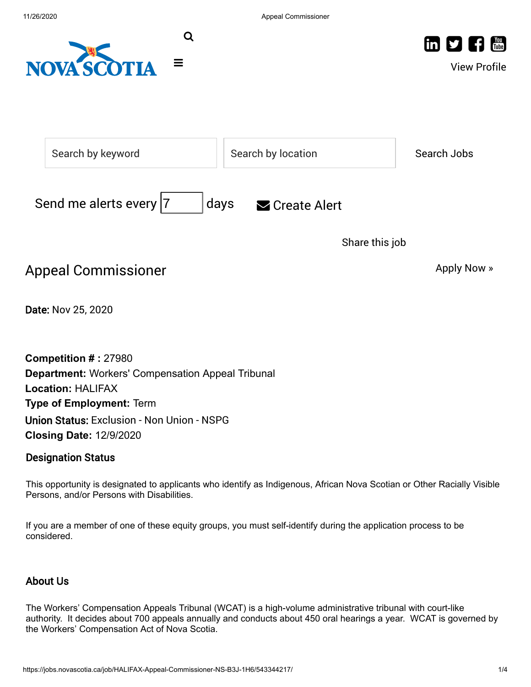



View Profile

|                                                 | Search by keyword                                                                                                                                                                                                                             | Search by location |                | Search Jobs |
|-------------------------------------------------|-----------------------------------------------------------------------------------------------------------------------------------------------------------------------------------------------------------------------------------------------|--------------------|----------------|-------------|
| Send me alerts every  7<br>days<br>Create Alert |                                                                                                                                                                                                                                               |                    |                |             |
|                                                 |                                                                                                                                                                                                                                               |                    | Share this job |             |
|                                                 | <b>Appeal Commissioner</b>                                                                                                                                                                                                                    |                    |                | Apply Now » |
|                                                 | Date: Nov 25, 2020                                                                                                                                                                                                                            |                    |                |             |
|                                                 | <b>Competition #: 27980</b><br><b>Department: Workers' Compensation Appeal Tribunal</b><br><b>Location: HALIFAX</b><br><b>Type of Employment: Term</b><br><b>Union Status: Exclusion - Non Union - NSPG</b><br><b>Closing Date: 12/9/2020</b> |                    |                |             |

## Designation Status

This opportunity is designated to applicants who identify as Indigenous, African Nova Scotian or Other Racially Visible Persons, and/or Persons with Disabilities.

If you are a member of one of these equity groups, you must self-identify during the application process to be considered.

# About Us

The Workers' Compensation Appeals Tribunal (WCAT) is a high-volume administrative tribunal with court-like authority. It decides about 700 appeals annually and conducts about 450 oral hearings a year. WCAT is governed by the Workers' Compensation Act of Nova Scotia.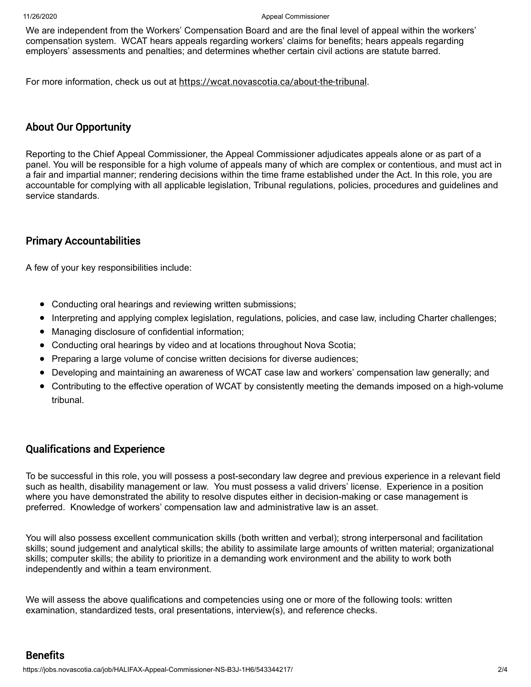#### 11/26/2020 Appeal Commissioner

We are independent from the Workers' Compensation Board and are the final level of appeal within the workers' compensation system. WCAT hears appeals regarding workers' claims for benefits; hears appeals regarding employers' assessments and penalties; and determines whether certain civil actions are statute barred.

For more information, check us out at <https://wcat.novascotia.ca/about-the-tribunal>.

### About Our Opportunity

Reporting to the Chief Appeal Commissioner, the Appeal Commissioner adjudicates appeals alone or as part of a panel. You will be responsible for a high volume of appeals many of which are complex or contentious, and must act in a fair and impartial manner; rendering decisions within the time frame established under the Act. In this role, you are accountable for complying with all applicable legislation, Tribunal regulations, policies, procedures and guidelines and service standards.

#### Primary Accountabilities

A few of your key responsibilities include:

- Conducting oral hearings and reviewing written submissions;
- Interpreting and applying complex legislation, regulations, policies, and case law, including Charter challenges;  $\bullet$
- Managing disclosure of confidential information;  $\bullet$
- Conducting oral hearings by video and at locations throughout Nova Scotia;  $\bullet$
- Preparing a large volume of concise written decisions for diverse audiences;  $\bullet$
- $\bullet$ Developing and maintaining an awareness of WCAT case law and workers' compensation law generally; and
- Contributing to the effective operation of WCAT by consistently meeting the demands imposed on a high-volume tribunal.

### Qualifications and Experience

To be successful in this role, you will possess a post-secondary law degree and previous experience in a relevant field such as health, disability management or law. You must possess a valid drivers' license. Experience in a position where you have demonstrated the ability to resolve disputes either in decision-making or case management is preferred. Knowledge of workers' compensation law and administrative law is an asset.

You will also possess excellent communication skills (both written and verbal); strong interpersonal and facilitation skills; sound judgement and analytical skills; the ability to assimilate large amounts of written material; organizational skills; computer skills; the ability to prioritize in a demanding work environment and the ability to work both independently and within a team environment.

We will assess the above qualifications and competencies using one or more of the following tools: written examination, standardized tests, oral presentations, interview(s), and reference checks.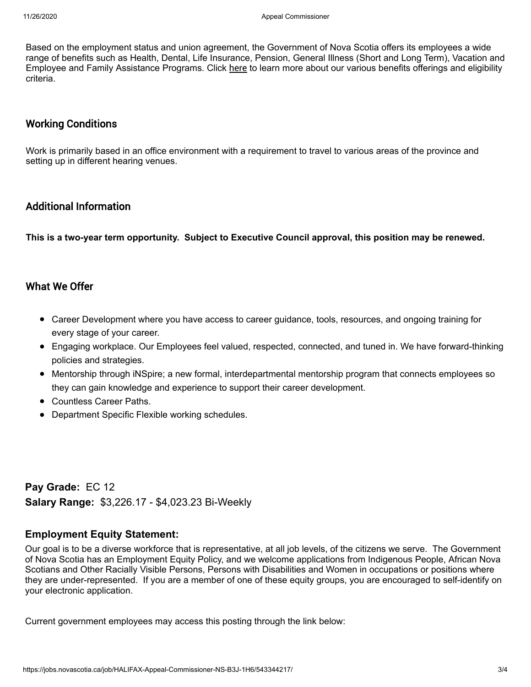Based on the employment status and union agreement, the Government of Nova Scotia offers its employees a wide range of benefits such as Health, Dental, Life Insurance, Pension, General Illness (Short and Long Term), Vacation and Employee and Family Assistance Programs. Click [here](https://beta.novascotia.ca/documents/benefits-government-employees) to learn more about our various benefits offerings and eligibility criteria.

#### Working Conditions

Work is primarily based in an office environment with a requirement to travel to various areas of the province and setting up in different hearing venues.

# Additional Information

**This is a two-year term opportunity. Subject to Executive Council approval, this position may be renewed.**

### What We Offer

- Career Development where you have access to career guidance, tools, resources, and ongoing training for every stage of your career.
- Engaging workplace. Our Employees feel valued, respected, connected, and tuned in. We have forward-thinking policies and strategies.
- Mentorship through iNSpire; a new formal, interdepartmental mentorship program that connects employees so they can gain knowledge and experience to support their career development.
- Countless Career Paths.
- Department Specific Flexible working schedules.

**Pay Grade:**EC 12 **Salary Range:** \$3,226.17 - \$4,023.23 Bi-Weekly

#### **Employment Equity Statement:**

Our goal is to be a diverse workforce that is representative, at all job levels, of the citizens we serve. The Government of Nova Scotia has an Employment Equity Policy, and we welcome applications from Indigenous People, African Nova Scotians and Other Racially Visible Persons, Persons with Disabilities and Women in occupations or positions where they are under-represented. If you are a member of one of these equity groups, you are encouraged to self-identify on your electronic application.

Current government employees may access this posting through the link below: